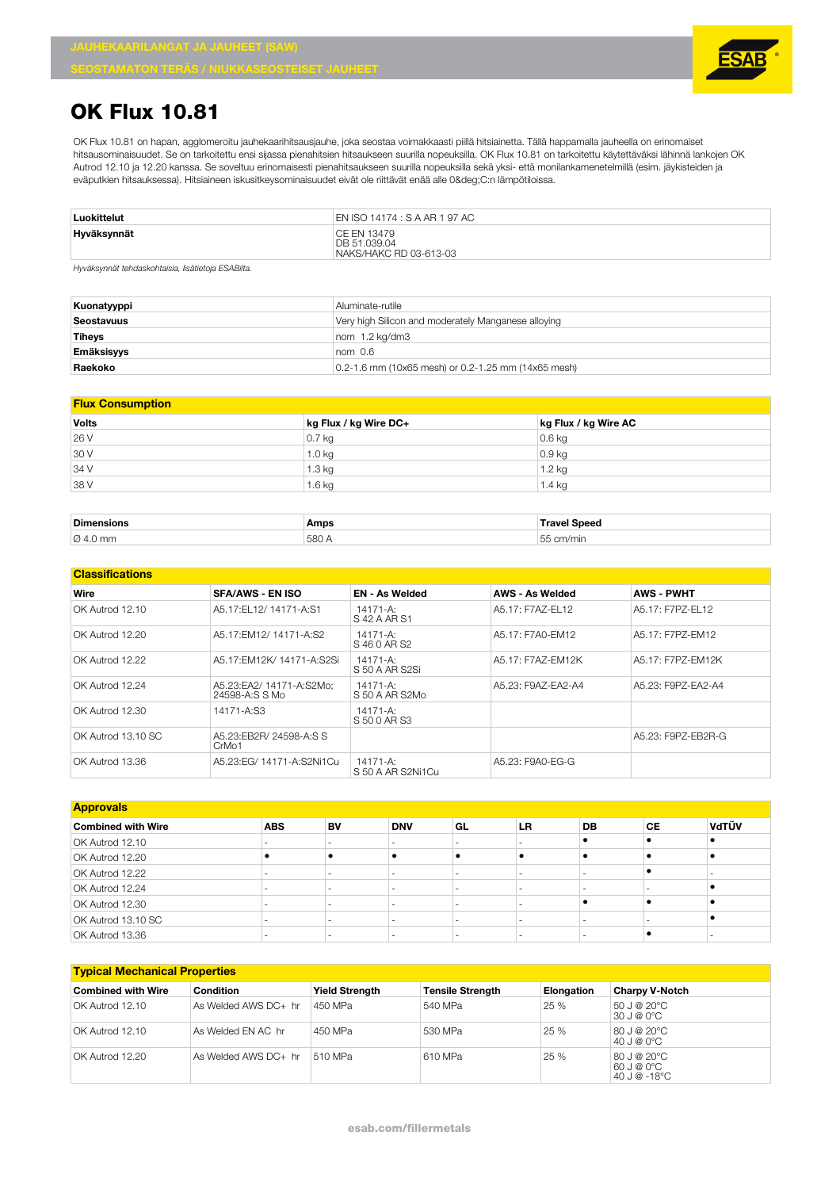## **OK Flux 10.81**

OK Flux 10.81 on hapan, agglomeroitu jauhekaarihitsausjauhe, joka seostaa voimakkaasti piillä hitsiainetta. Tällä happamalla jauheella on erinomaiset hitsausominaisuudet. Se on tarkoitettu ensi sijassa pienahitsien hitsaukseen suurilla nopeuksilla. OK Flux 10.81 on tarkoitettu käytettäväksi lähinnä lankojen OK Autrod 12.10 ja 12.20 kanssa. Se soveltuu erinomaisesti pienahitsaukseen suurilla nopeuksilla sekä yksi- että monilankamenetelmillä (esim. jäykisteiden ja eväputkien hitsauksessa). Hitsiaineen iskusitkeysominaisuudet eivät ole riittävät enää alle 0°C:n lämpötiloissa.

| Luokittelut                                         | EN ISO 14174 : S A AR 1 97 AC                         |
|-----------------------------------------------------|-------------------------------------------------------|
| Hyväksynnät                                         | CE EN 13479<br>DB 51.039.04<br>NAKS/HAKC RD 03-613-03 |
| Hugʻilov mpët tohdonkohtojoje, lieëtietoje ESADilto |                                                       |

*Hyväksynnät tehdaskohtaisia, lisätietoja ESABilta.*

| Kuonatyyppi   | Aluminate-rutile                                    |
|---------------|-----------------------------------------------------|
| Seostavuus    | Very high Silicon and moderately Manganese alloying |
| <b>Tiheys</b> | nom 1.2 kg/dm3                                      |
| Emäksisyys    | nom <sub>0.6</sub>                                  |
| Raekoko       | 0.2-1.6 mm (10x65 mesh) or 0.2-1.25 mm (14x65 mesh) |

| <b>Volts</b> | kg Flux / kg Wire DC+ | kg Flux / kg Wire AC |
|--------------|-----------------------|----------------------|
| 26 V         | $0.7$ kg              | $0.6$ kg             |
| 30 V         | 1.0 kg                | $0.9$ kg             |
| 34 V         | $1.3$ kg              | 1.2 kg               |
| 38 V         | $1.6$ kg              | 1.4 kg               |

| <b>Dimensions</b>    | Amps | <b>Paper</b><br> |
|----------------------|------|------------------|
| $\varnothing$ 4.0 mm | 580  | mir.             |

| <b>Classifications</b> |                                            |                                    |                        |                    |
|------------------------|--------------------------------------------|------------------------------------|------------------------|--------------------|
| Wire                   | <b>SFA/AWS - EN ISO</b>                    | <b>EN - As Welded</b>              | <b>AWS - As Welded</b> | <b>AWS - PWHT</b>  |
| OK Autrod 12.10        | A5.17:EL12/14171-A:S1                      | $14171 - A$ :<br>S 42 A AR S1      | A5.17: F7AZ-FL12       | A5.17: F7PZ-FL12   |
| OK Autrod 12.20        | A5.17: EM 12/ 14171-A: S2                  | 14171-A:<br>S 46 0 AR S2           | A5.17: F7A0-FM12       | A5.17: F7PZ-FM12   |
| OK Autrod 12.22        | A5.17:EM12K/ 14171-A:S2Si                  | 14171-A:<br>IS 50 A AR S2Si        | A5.17: F7AZ-FM12K      | A5.17: F7PZ-FM12K  |
| OK Autrod 12.24        | A5.23:EA2/ 14171-A:S2Mo:<br>24598-A:S S Mo | 14171-A:<br>S 50 A AR S2Mo         | A5.23: F9AZ-FA2-A4     | A5.23: F9PZ-FA2-A4 |
| OK Autrod 12.30        | 14171-A:S3                                 | 14171-A:<br>S 50 0 AR S3           |                        |                    |
| OK Autrod 13.10 SC     | A5.23:EB2R/ 24598-A:S S<br>CrMo1           |                                    |                        | A5.23: F9PZ-EB2R-G |
| OK Autrod 13.36        | A5.23:EG/ 14171-A:S2Ni1Cu                  | $14171 - A$ :<br>S 50 A AR S2Ni1Cu | A5.23: F9A0-EG-G       |                    |

| <b>Approvals</b>          |            |    |            |                          |    |           |    |       |
|---------------------------|------------|----|------------|--------------------------|----|-----------|----|-------|
| <b>Combined with Wire</b> | <b>ABS</b> | BV | <b>DNV</b> | GL                       | LR | <b>DB</b> | СE | VdTÜV |
| OK Autrod 12.10           |            |    |            | -                        |    |           |    |       |
| OK Autrod 12.20           |            |    |            |                          |    |           |    |       |
| OK Autrod 12.22           |            |    |            | $\overline{\phantom{a}}$ |    |           |    |       |
| OK Autrod 12.24           |            |    |            | -                        |    |           |    |       |
| OK Autrod 12.30           |            |    |            | $\overline{\phantom{0}}$ |    |           |    |       |
| OK Autrod 13.10 SC        |            |    |            | $\overline{\phantom{a}}$ |    |           |    |       |
| OK Autrod 13.36           |            |    |            | -                        |    |           |    |       |

| <b>Typical Mechanical Properties</b> |                      |                       |                         |            |                                            |  |  |
|--------------------------------------|----------------------|-----------------------|-------------------------|------------|--------------------------------------------|--|--|
| <b>Combined with Wire</b>            | Condition            | <b>Yield Strength</b> | <b>Tensile Strength</b> | Elongation | <b>Charpy V-Notch</b>                      |  |  |
| OK Autrod 12.10                      | As Welded AWS DC+ hr | 450 MPa               | 540 MPa                 | 25 %       | 50 J @ 20°C<br>  30 J @ 0°C                |  |  |
| OK Autrod 12.10                      | As Welded FN AC hr   | 450 MPa               | 530 MPa                 | 25%        | 80 J @ 20°C<br>40 J @ 0°C                  |  |  |
| OK Autrod 12.20                      | As Welded AWS DC+ hr | 510 MPa               | 610 MPa                 | 25 %       | 80 J @ 20°C<br> 60 J @ 0°C<br>40 J @ -18°C |  |  |